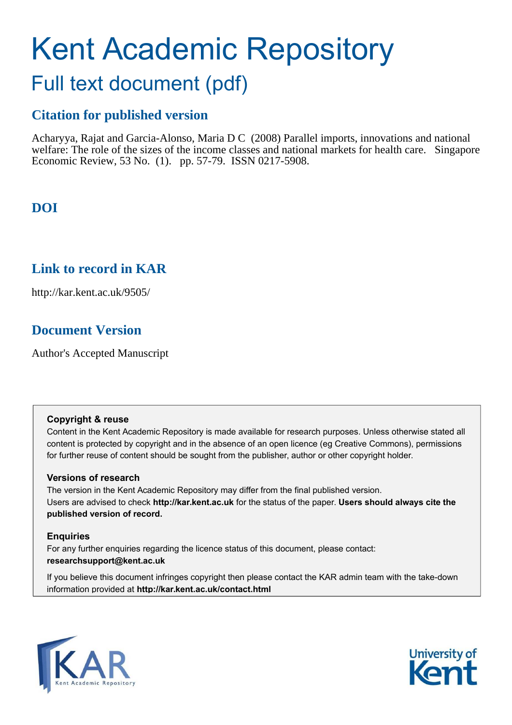# Kent Academic Repository

## Full text document (pdf)

## **Citation for published version**

Acharyya, Rajat and Garcia-Alonso, Maria D C (2008) Parallel imports, innovations and national welfare: The role of the sizes of the income classes and national markets for health care. Singapore Economic Review, 53 No. (1). pp. 57-79. ISSN 0217-5908.

## **DOI**

## **Link to record in KAR**

http://kar.kent.ac.uk/9505/

## **Document Version**

Author's Accepted Manuscript

#### **Copyright & reuse**

Content in the Kent Academic Repository is made available for research purposes. Unless otherwise stated all content is protected by copyright and in the absence of an open licence (eg Creative Commons), permissions for further reuse of content should be sought from the publisher, author or other copyright holder.

#### **Versions of research**

The version in the Kent Academic Repository may differ from the final published version. Users are advised to check **http://kar.kent.ac.uk** for the status of the paper. **Users should always cite the published version of record.**

#### **Enquiries**

For any further enquiries regarding the licence status of this document, please contact: **researchsupport@kent.ac.uk**

If you believe this document infringes copyright then please contact the KAR admin team with the take-down information provided at **http://kar.kent.ac.uk/contact.html**



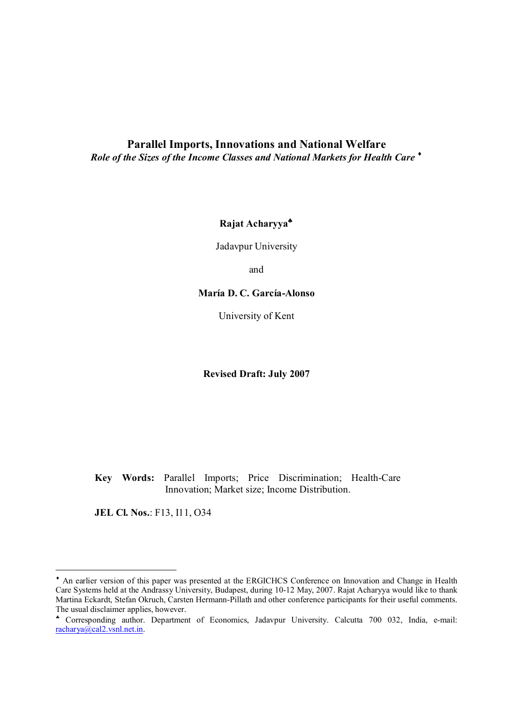#### **Parallel Imports, Innovations and National Welfare**  *Role of the Sizes of the Income Classes and National Markets for Health Care*

**Rajat Acharyya**

Jadavpur University

and

#### **María D. C. García-Alonso**

University of Kent

**Revised Draft: July 2007** 

**Key Words:** Parallel Imports; Price Discrimination; Health-Care Innovation; Market size; Income Distribution.

**JEL Cl. Nos.**: F13, I11, O34

 $\bullet$  An earlier version of this paper was presented at the ERGICHCS Conference on Innovation and Change in Health Care Systems held at the Andrassy University, Budapest, during 10-12 May, 2007. Rajat Acharyya would like to thank Martina Eckardt, Stefan Okruch, Carsten Hermann-Pillath and other conference participants for their useful comments. The usual disclaimer applies, however.

 Corresponding author. Department of Economics, Jadavpur University. Calcutta 700 032, India, e-mail: racharya@cal2.vsnl.net.in.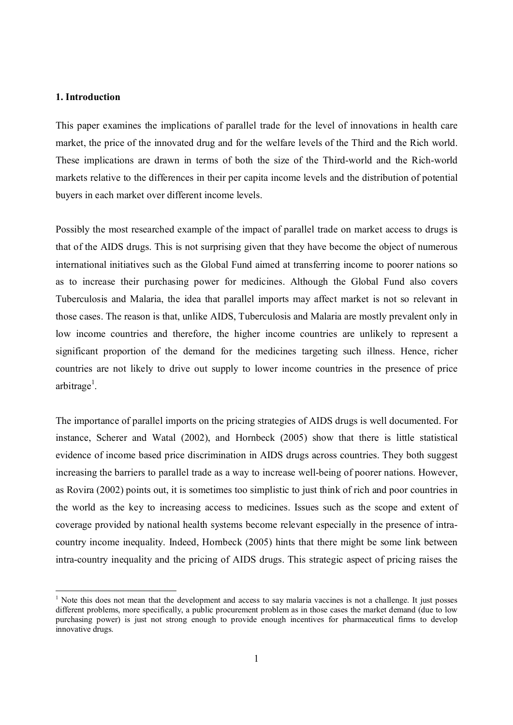#### **1. Introduction**

 $\overline{a}$ 

This paper examines the implications of parallel trade for the level of innovations in health care market, the price of the innovated drug and for the welfare levels of the Third and the Rich world. These implications are drawn in terms of both the size of the Third-world and the Rich-world markets relative to the differences in their per capita income levels and the distribution of potential buyers in each market over different income levels.

Possibly the most researched example of the impact of parallel trade on market access to drugs is that of the AIDS drugs. This is not surprising given that they have become the object of numerous international initiatives such as the Global Fund aimed at transferring income to poorer nations so as to increase their purchasing power for medicines. Although the Global Fund also covers Tuberculosis and Malaria, the idea that parallel imports may affect market is not so relevant in those cases. The reason is that, unlike AIDS, Tuberculosis and Malaria are mostly prevalent only in low income countries and therefore, the higher income countries are unlikely to represent a significant proportion of the demand for the medicines targeting such illness. Hence, richer countries are not likely to drive out supply to lower income countries in the presence of price arbitrage<sup>1</sup>.

The importance of parallel imports on the pricing strategies of AIDS drugs is well documented. For instance, Scherer and Watal (2002), and Hornbeck (2005) show that there is little statistical evidence of income based price discrimination in AIDS drugs across countries. They both suggest increasing the barriers to parallel trade as a way to increase well-being of poorer nations. However, as Rovira (2002) points out, it is sometimes too simplistic to just think of rich and poor countries in the world as the key to increasing access to medicines. Issues such as the scope and extent of coverage provided by national health systems become relevant especially in the presence of intracountry income inequality. Indeed, Hornbeck (2005) hints that there might be some link between intra-country inequality and the pricing of AIDS drugs. This strategic aspect of pricing raises the

<sup>&</sup>lt;sup>1</sup> Note this does not mean that the development and access to say malaria vaccines is not a challenge. It just posses different problems, more specifically, a public procurement problem as in those cases the market demand (due to low purchasing power) is just not strong enough to provide enough incentives for pharmaceutical firms to develop innovative drugs.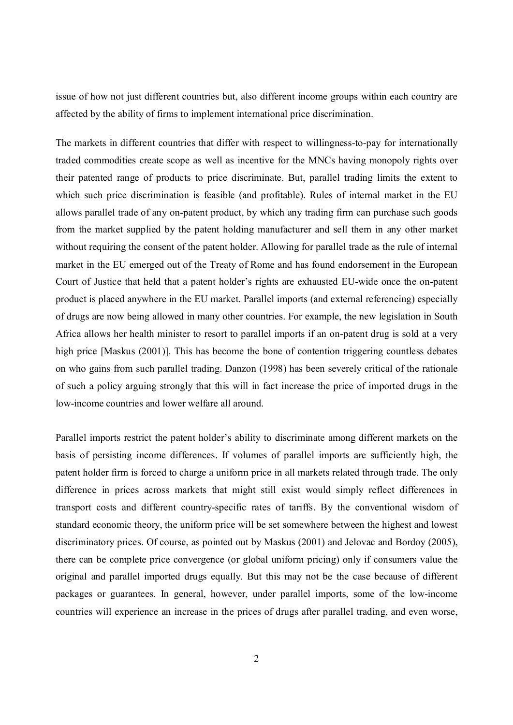issue of how not just different countries but, also different income groups within each country are affected by the ability of firms to implement international price discrimination.

The markets in different countries that differ with respect to willingness-to-pay for internationally traded commodities create scope as well as incentive for the MNCs having monopoly rights over their patented range of products to price discriminate. But, parallel trading limits the extent to which such price discrimination is feasible (and profitable). Rules of internal market in the EU allows parallel trade of any on-patent product, by which any trading firm can purchase such goods from the market supplied by the patent holding manufacturer and sell them in any other market without requiring the consent of the patent holder. Allowing for parallel trade as the rule of internal market in the EU emerged out of the Treaty of Rome and has found endorsement in the European Court of Justice that held that a patent holder's rights are exhausted EU-wide once the on-patent product is placed anywhere in the EU market. Parallel imports (and external referencing) especially of drugs are now being allowed in many other countries. For example, the new legislation in South Africa allows her health minister to resort to parallel imports if an on-patent drug is sold at a very high price [Maskus (2001)]. This has become the bone of contention triggering countless debates on who gains from such parallel trading. Danzon (1998) has been severely critical of the rationale of such a policy arguing strongly that this will in fact increase the price of imported drugs in the low-income countries and lower welfare all around.

Parallel imports restrict the patent holder's ability to discriminate among different markets on the basis of persisting income differences. If volumes of parallel imports are sufficiently high, the patent holder firm is forced to charge a uniform price in all markets related through trade. The only difference in prices across markets that might still exist would simply reflect differences in transport costs and different country-specific rates of tariffs. By the conventional wisdom of standard economic theory, the uniform price will be set somewhere between the highest and lowest discriminatory prices. Of course, as pointed out by Maskus (2001) and Jelovac and Bordoy (2005), there can be complete price convergence (or global uniform pricing) only if consumers value the original and parallel imported drugs equally. But this may not be the case because of different packages or guarantees. In general, however, under parallel imports, some of the low-income countries will experience an increase in the prices of drugs after parallel trading, and even worse,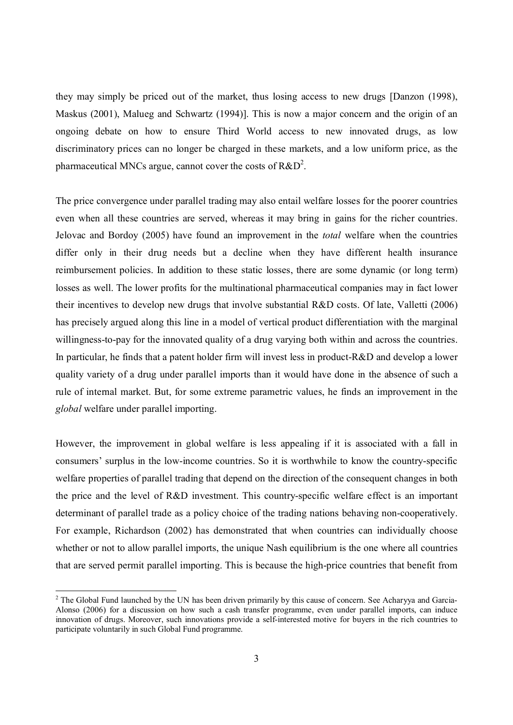they may simply be priced out of the market, thus losing access to new drugs [Danzon (1998), Maskus (2001), Malueg and Schwartz (1994)]. This is now a major concern and the origin of an ongoing debate on how to ensure Third World access to new innovated drugs, as low discriminatory prices can no longer be charged in these markets, and a low uniform price, as the pharmaceutical MNCs argue, cannot cover the costs of  $R&D^2$ .

The price convergence under parallel trading may also entail welfare losses for the poorer countries even when all these countries are served, whereas it may bring in gains for the richer countries. Jelovac and Bordoy (2005) have found an improvement in the *total* welfare when the countries differ only in their drug needs but a decline when they have different health insurance reimbursement policies. In addition to these static losses, there are some dynamic (or long term) losses as well. The lower profits for the multinational pharmaceutical companies may in fact lower their incentives to develop new drugs that involve substantial R&D costs. Of late, Valletti (2006) has precisely argued along this line in a model of vertical product differentiation with the marginal willingness-to-pay for the innovated quality of a drug varying both within and across the countries. In particular, he finds that a patent holder firm will invest less in product-R&D and develop a lower quality variety of a drug under parallel imports than it would have done in the absence of such a rule of internal market. But, for some extreme parametric values, he finds an improvement in the *global* welfare under parallel importing.

However, the improvement in global welfare is less appealing if it is associated with a fall in consumers' surplus in the low-income countries. So it is worthwhile to know the country-specific welfare properties of parallel trading that depend on the direction of the consequent changes in both the price and the level of R&D investment. This country-specific welfare effect is an important determinant of parallel trade as a policy choice of the trading nations behaving non-cooperatively. For example, Richardson (2002) has demonstrated that when countries can individually choose whether or not to allow parallel imports, the unique Nash equilibrium is the one where all countries that are served permit parallel importing. This is because the high-price countries that benefit from

 $\overline{a}$ 

 $2$  The Global Fund launched by the UN has been driven primarily by this cause of concern. See Acharyya and Garcia-Alonso (2006) for a discussion on how such a cash transfer programme, even under parallel imports, can induce innovation of drugs. Moreover, such innovations provide a self-interested motive for buyers in the rich countries to participate voluntarily in such Global Fund programme.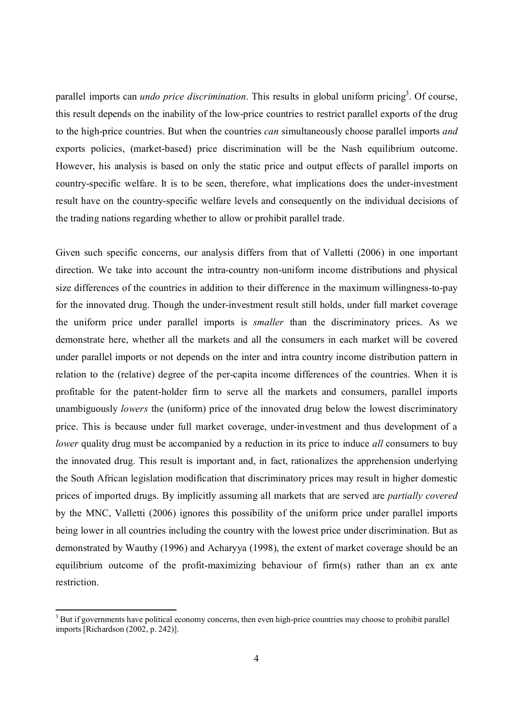parallel imports can *undo price discrimination*. This results in global uniform pricing<sup>3</sup>. Of course, this result depends on the inability of the low-price countries to restrict parallel exports of the drug to the high-price countries. But when the countries *can* simultaneously choose parallel imports *and* exports policies, (market-based) price discrimination will be the Nash equilibrium outcome. However, his analysis is based on only the static price and output effects of parallel imports on country-specific welfare. It is to be seen, therefore, what implications does the under-investment result have on the country-specific welfare levels and consequently on the individual decisions of the trading nations regarding whether to allow or prohibit parallel trade.

Given such specific concerns, our analysis differs from that of Valletti (2006) in one important direction. We take into account the intra-country non-uniform income distributions and physical size differences of the countries in addition to their difference in the maximum willingness-to-pay for the innovated drug. Though the under-investment result still holds, under full market coverage the uniform price under parallel imports is *smaller* than the discriminatory prices. As we demonstrate here, whether all the markets and all the consumers in each market will be covered under parallel imports or not depends on the inter and intra country income distribution pattern in relation to the (relative) degree of the per-capita income differences of the countries. When it is profitable for the patent-holder firm to serve all the markets and consumers, parallel imports unambiguously *lowers* the (uniform) price of the innovated drug below the lowest discriminatory price. This is because under full market coverage, under-investment and thus development of a *lower* quality drug must be accompanied by a reduction in its price to induce *all* consumers to buy the innovated drug. This result is important and, in fact, rationalizes the apprehension underlying the South African legislation modification that discriminatory prices may result in higher domestic prices of imported drugs. By implicitly assuming all markets that are served are *partially covered* by the MNC, Valletti (2006) ignores this possibility of the uniform price under parallel imports being lower in all countries including the country with the lowest price under discrimination. But as demonstrated by Wauthy (1996) and Acharyya (1998), the extent of market coverage should be an equilibrium outcome of the profit-maximizing behaviour of firm(s) rather than an ex ante restriction.

<sup>&</sup>lt;sup>3</sup> But if governments have political economy concerns, then even high-price countries may choose to prohibit parallel imports [Richardson (2002, p. 242)].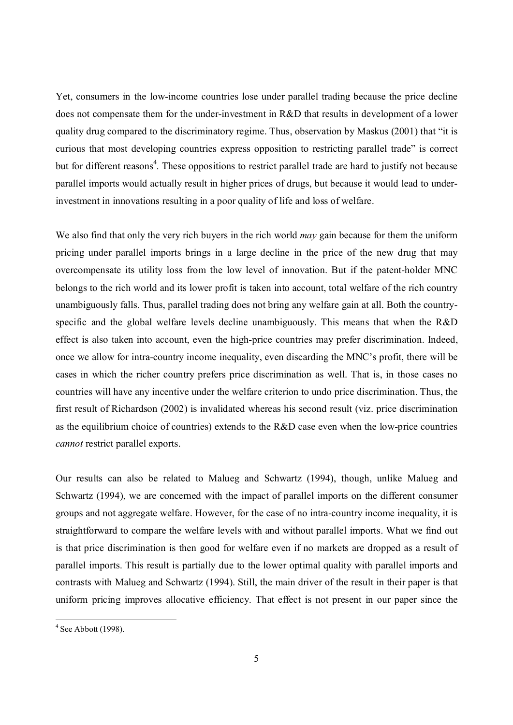Yet, consumers in the low-income countries lose under parallel trading because the price decline does not compensate them for the under-investment in R&D that results in development of a lower quality drug compared to the discriminatory regime. Thus, observation by Maskus (2001) that "it is curious that most developing countries express opposition to restricting parallel trade" is correct but for different reasons<sup>4</sup>. These oppositions to restrict parallel trade are hard to justify not because parallel imports would actually result in higher prices of drugs, but because it would lead to underinvestment in innovations resulting in a poor quality of life and loss of welfare.

We also find that only the very rich buyers in the rich world *may* gain because for them the uniform pricing under parallel imports brings in a large decline in the price of the new drug that may overcompensate its utility loss from the low level of innovation. But if the patent-holder MNC belongs to the rich world and its lower profit is taken into account, total welfare of the rich country unambiguously falls. Thus, parallel trading does not bring any welfare gain at all. Both the countryspecific and the global welfare levels decline unambiguously. This means that when the R&D effect is also taken into account, even the high-price countries may prefer discrimination. Indeed, once we allow for intra-country income inequality, even discarding the MNC's profit, there will be cases in which the richer country prefers price discrimination as well. That is, in those cases no countries will have any incentive under the welfare criterion to undo price discrimination. Thus, the first result of Richardson (2002) is invalidated whereas his second result (viz. price discrimination as the equilibrium choice of countries) extends to the R&D case even when the low-price countries *cannot* restrict parallel exports.

Our results can also be related to Malueg and Schwartz (1994), though, unlike Malueg and Schwartz (1994), we are concerned with the impact of parallel imports on the different consumer groups and not aggregate welfare. However, for the case of no intra-country income inequality, it is straightforward to compare the welfare levels with and without parallel imports. What we find out is that price discrimination is then good for welfare even if no markets are dropped as a result of parallel imports. This result is partially due to the lower optimal quality with parallel imports and contrasts with Malueg and Schwartz (1994). Still, the main driver of the result in their paper is that uniform pricing improves allocative efficiency. That effect is not present in our paper since the

<sup>&</sup>lt;sup>4</sup> See Abbott (1998).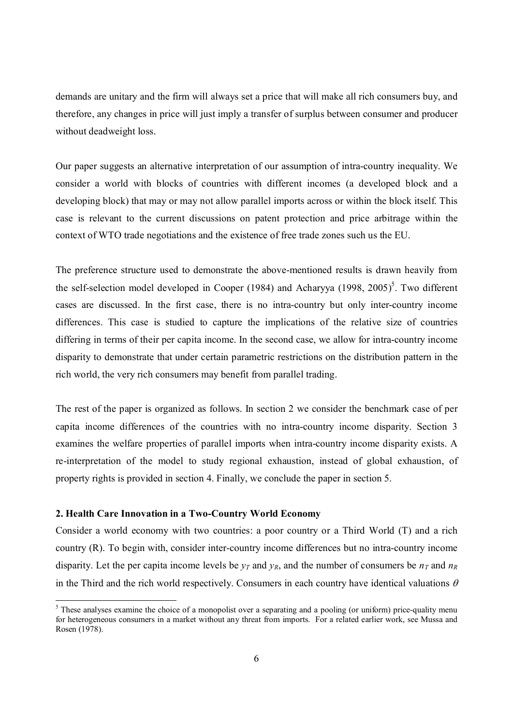demands are unitary and the firm will always set a price that will make all rich consumers buy, and therefore, any changes in price will just imply a transfer of surplus between consumer and producer without deadweight loss.

Our paper suggests an alternative interpretation of our assumption of intra-country inequality. We consider a world with blocks of countries with different incomes (a developed block and a developing block) that may or may not allow parallel imports across or within the block itself. This case is relevant to the current discussions on patent protection and price arbitrage within the context of WTO trade negotiations and the existence of free trade zones such us the EU.

The preference structure used to demonstrate the above-mentioned results is drawn heavily from the self-selection model developed in Cooper (1984) and Acharyya (1998, 2005)<sup>5</sup>. Two different cases are discussed. In the first case, there is no intra-country but only inter-country income differences. This case is studied to capture the implications of the relative size of countries differing in terms of their per capita income. In the second case, we allow for intra-country income disparity to demonstrate that under certain parametric restrictions on the distribution pattern in the rich world, the very rich consumers may benefit from parallel trading.

The rest of the paper is organized as follows. In section 2 we consider the benchmark case of per capita income differences of the countries with no intra-country income disparity. Section 3 examines the welfare properties of parallel imports when intra-country income disparity exists. A re-interpretation of the model to study regional exhaustion, instead of global exhaustion, of property rights is provided in section 4. Finally, we conclude the paper in section 5.

#### **2. Health Care Innovation in a Two-Country World Economy**

Consider a world economy with two countries: a poor country or a Third World (T) and a rich country (R). To begin with, consider inter-country income differences but no intra-country income disparity. Let the per capita income levels be  $y_T$  and  $y_R$ , and the number of consumers be  $n_T$  and  $n_R$ in the Third and the rich world respectively. Consumers in each country have identical valuations  $\theta$ 

<sup>&</sup>lt;sup>5</sup> These analyses examine the choice of a monopolist over a separating and a pooling (or uniform) price-quality menu for heterogeneous consumers in a market without any threat from imports. For a related earlier work, see Mussa and Rosen (1978).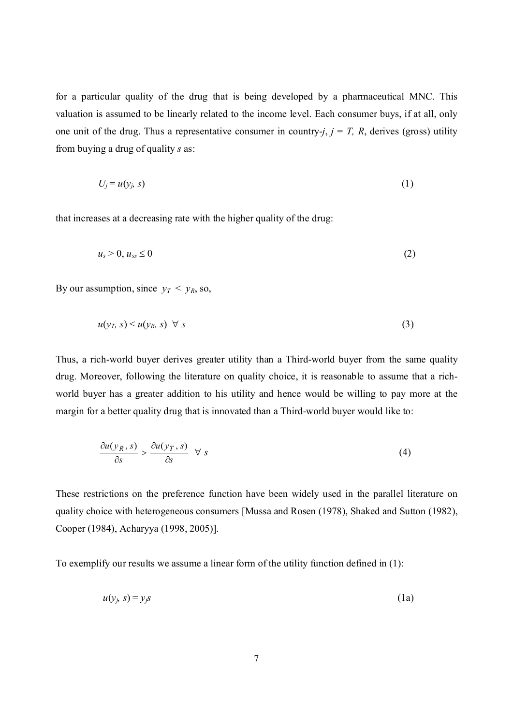for a particular quality of the drug that is being developed by a pharmaceutical MNC. This valuation is assumed to be linearly related to the income level. Each consumer buys, if at all, only one unit of the drug. Thus a representative consumer in country- $j$ ,  $j = T$ , R, derives (gross) utility from buying a drug of quality *s* as:

$$
U_j = u(y_j, s) \tag{1}
$$

that increases at a decreasing rate with the higher quality of the drug:

$$
u_s > 0, u_{ss} \le 0 \tag{2}
$$

By our assumption, since  $y_T < y_R$ , so,

$$
u(y_T, s) < u(y_R, s) \quad \forall \, s \tag{3}
$$

Thus, a rich-world buyer derives greater utility than a Third-world buyer from the same quality drug. Moreover, following the literature on quality choice, it is reasonable to assume that a richworld buyer has a greater addition to his utility and hence would be willing to pay more at the margin for a better quality drug that is innovated than a Third-world buyer would like to:

$$
\frac{\partial u(y_R, s)}{\partial s} > \frac{\partial u(y_T, s)}{\partial s} \quad \forall \ s \tag{4}
$$

These restrictions on the preference function have been widely used in the parallel literature on quality choice with heterogeneous consumers [Mussa and Rosen (1978), Shaked and Sutton (1982), Cooper (1984), Acharyya (1998, 2005)].

To exemplify our results we assume a linear form of the utility function defined in (1):

$$
u(y_j, s) = y_j s \tag{1a}
$$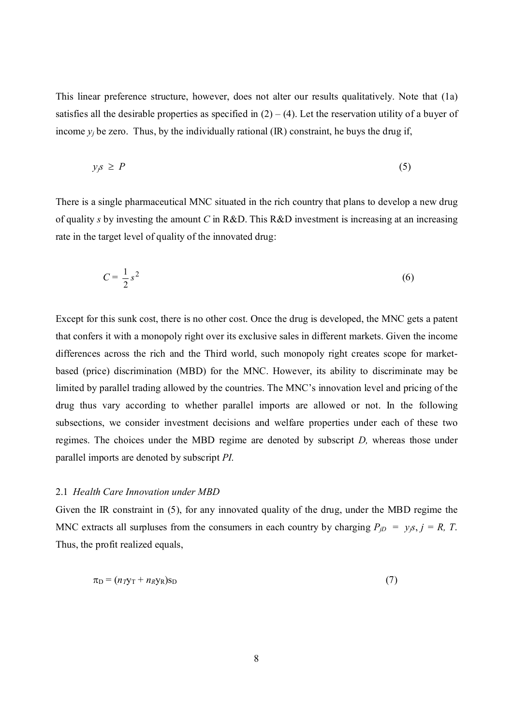This linear preference structure, however, does not alter our results qualitatively. Note that (1a) satisfies all the desirable properties as specified in  $(2) - (4)$ . Let the reservation utility of a buyer of income  $y_i$  be zero. Thus, by the individually rational (IR) constraint, he buys the drug if,

$$
y_j s \ge P \tag{5}
$$

There is a single pharmaceutical MNC situated in the rich country that plans to develop a new drug of quality *s* by investing the amount *C* in R&D. This R&D investment is increasing at an increasing rate in the target level of quality of the innovated drug:

$$
C = \frac{1}{2}s^2\tag{6}
$$

Except for this sunk cost, there is no other cost. Once the drug is developed, the MNC gets a patent that confers it with a monopoly right over its exclusive sales in different markets. Given the income differences across the rich and the Third world, such monopoly right creates scope for marketbased (price) discrimination (MBD) for the MNC. However, its ability to discriminate may be limited by parallel trading allowed by the countries. The MNC's innovation level and pricing of the drug thus vary according to whether parallel imports are allowed or not. In the following subsections, we consider investment decisions and welfare properties under each of these two regimes. The choices under the MBD regime are denoted by subscript *D,* whereas those under parallel imports are denoted by subscript *PI*.

#### 2.1 *Health Care Innovation under MBD*

Given the IR constraint in (5), for any innovated quality of the drug, under the MBD regime the MNC extracts all surpluses from the consumers in each country by charging  $P_{jD} = y_j s$ ,  $j = R$ , T. Thus, the profit realized equals,

$$
\pi_{\mathcal{D}} = (n_T \mathbf{y}_T + n_R \mathbf{y}_R) \mathbf{s}_{\mathcal{D}} \tag{7}
$$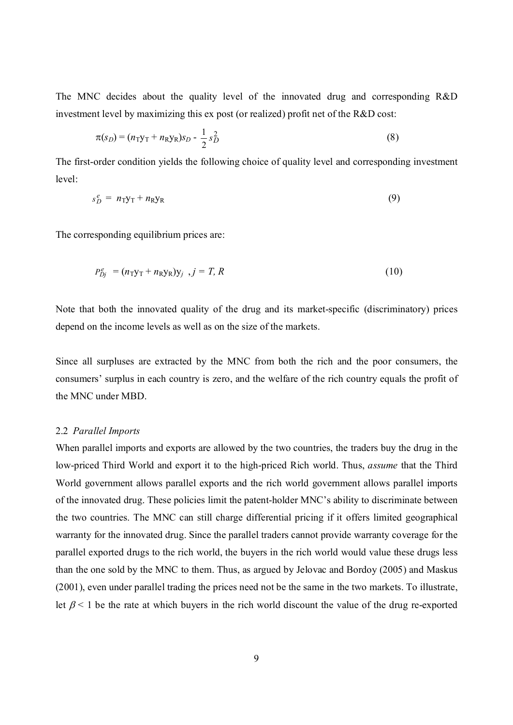The MNC decides about the quality level of the innovated drug and corresponding R&D investment level by maximizing this ex post (or realized) profit net of the R&D cost:

$$
\pi(s_D) = (n_{\text{TYT}} + n_{\text{RYR}})s_D - \frac{1}{2}s_D^2
$$
\n(8)

The first-order condition yields the following choice of quality level and corresponding investment level:

$$
s_D^e = n_{\rm T} y_{\rm T} + n_{\rm R} y_{\rm R} \tag{9}
$$

The corresponding equilibrium prices are:

$$
P_{Dj}^e = (n_{\text{TYT}} + n_{\text{RYR}}) \mathbf{y}_j \quad , j = T, R \tag{10}
$$

Note that both the innovated quality of the drug and its market-specific (discriminatory) prices depend on the income levels as well as on the size of the markets.

Since all surpluses are extracted by the MNC from both the rich and the poor consumers, the consumers' surplus in each country is zero, and the welfare of the rich country equals the profit of the MNC under MBD.

#### 2.2 *Parallel Imports*

When parallel imports and exports are allowed by the two countries, the traders buy the drug in the low-priced Third World and export it to the high-priced Rich world. Thus, *assume* that the Third World government allows parallel exports and the rich world government allows parallel imports of the innovated drug. These policies limit the patent-holder MNC's ability to discriminate between the two countries. The MNC can still charge differential pricing if it offers limited geographical warranty for the innovated drug. Since the parallel traders cannot provide warranty coverage for the parallel exported drugs to the rich world, the buyers in the rich world would value these drugs less than the one sold by the MNC to them. Thus, as argued by Jelovac and Bordoy (2005) and Maskus (2001), even under parallel trading the prices need not be the same in the two markets. To illustrate, let  $\beta$  < 1 be the rate at which buyers in the rich world discount the value of the drug re-exported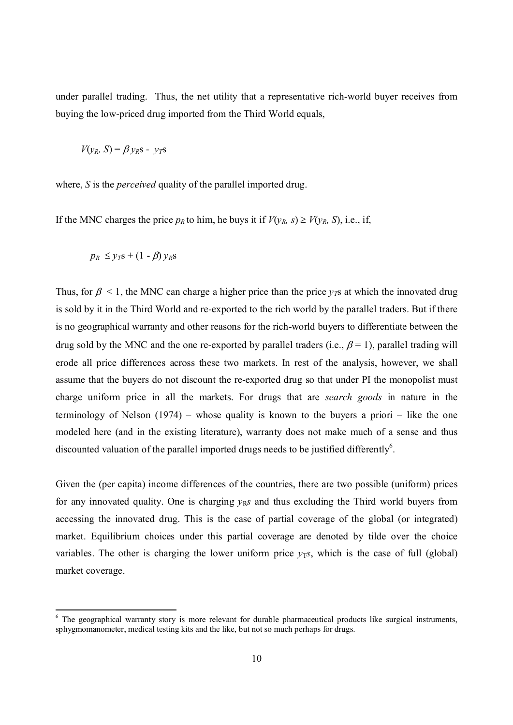under parallel trading. Thus, the net utility that a representative rich-world buyer receives from buying the low-priced drug imported from the Third World equals,

*V*(*y<sub>R</sub>*, *S*) =  $\beta$  *y<sub>R</sub>S* - *y<sub>T</sub>S* 

where, *S* is the *perceived* quality of the parallel imported drug.

If the MNC charges the price  $p_R$  to him, he buys it if  $V(y_R, s) \ge V(y_R, S)$ , i.e., if,

$$
p_R \leq y_T s + (1 - \beta) y_R s
$$

 $\overline{a}$ 

Thus, for  $\beta$  < 1, the MNC can charge a higher price than the price  $v<sub>T</sub>$ s at which the innovated drug is sold by it in the Third World and re-exported to the rich world by the parallel traders. But if there is no geographical warranty and other reasons for the rich-world buyers to differentiate between the drug sold by the MNC and the one re-exported by parallel traders (i.e.,  $\beta = 1$ ), parallel trading will erode all price differences across these two markets. In rest of the analysis, however, we shall assume that the buyers do not discount the re-exported drug so that under PI the monopolist must charge uniform price in all the markets. For drugs that are *search goods* in nature in the terminology of Nelson (1974) – whose quality is known to the buyers a priori – like the one modeled here (and in the existing literature), warranty does not make much of a sense and thus discounted valuation of the parallel imported drugs needs to be justified differently $6$ .

Given the (per capita) income differences of the countries, there are two possible (uniform) prices for any innovated quality. One is charging  $y<sub>R</sub>$ *s* and thus excluding the Third world buyers from accessing the innovated drug. This is the case of partial coverage of the global (or integrated) market. Equilibrium choices under this partial coverage are denoted by tilde over the choice variables. The other is charging the lower uniform price  $v<sub>TS</sub>$ , which is the case of full (global) market coverage.

<sup>&</sup>lt;sup>6</sup> The geographical warranty story is more relevant for durable pharmaceutical products like surgical instruments, sphygmomanometer, medical testing kits and the like, but not so much perhaps for drugs.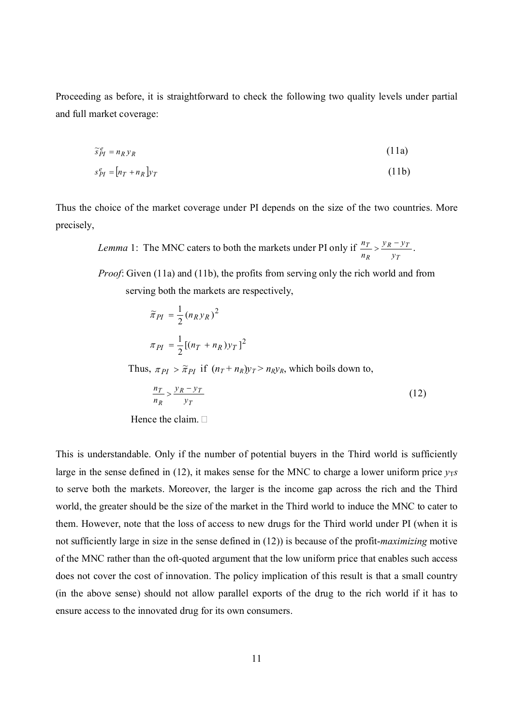Proceeding as before, it is straightforward to check the following two quality levels under partial and full market coverage:

$$
\widetilde{s}_{PI}^e = n_R y_R \tag{11a}
$$

$$
s_{PI}^e = [n_T + n_R]y_T \tag{11b}
$$

Thus the choice of the market coverage under PI depends on the size of the two countries. More precisely,

 *Lemma* 1: The MNC caters to both the markets under PI only if *T*  $R = yT$ *R T y*  $y_R - y$ *n*  $\frac{n_T}{\lambda}$  >  $\frac{y_R - y_T}{\lambda}$ .

> *Proof*: Given (11a) and (11b), the profits from serving only the rich world and from serving both the markets are respectively,

$$
\widetilde{\pi}_{PI} = \frac{1}{2} (n_R y_R)^2
$$

$$
\pi_{PI} = \frac{1}{2} [(n_T + n_R) y_T]^2
$$

Thus,  $\pi_{PI} > \tilde{\pi}_{PI}$  if  $(n_T + n_R)y_T > n_Ry_R$ , which boils down to,

$$
\frac{n_T}{n_R} > \frac{y_R - y_T}{y_T} \tag{12}
$$

Hence the claim.  $\Box$ 

This is understandable. Only if the number of potential buyers in the Third world is sufficiently large in the sense defined in (12), it makes sense for the MNC to charge a lower uniform price  $y_T s$ to serve both the markets. Moreover, the larger is the income gap across the rich and the Third world, the greater should be the size of the market in the Third world to induce the MNC to cater to them. However, note that the loss of access to new drugs for the Third world under PI (when it is not sufficiently large in size in the sense defined in (12)) is because of the profit-*maximizing* motive of the MNC rather than the oft-quoted argument that the low uniform price that enables such access does not cover the cost of innovation. The policy implication of this result is that a small country (in the above sense) should not allow parallel exports of the drug to the rich world if it has to ensure access to the innovated drug for its own consumers.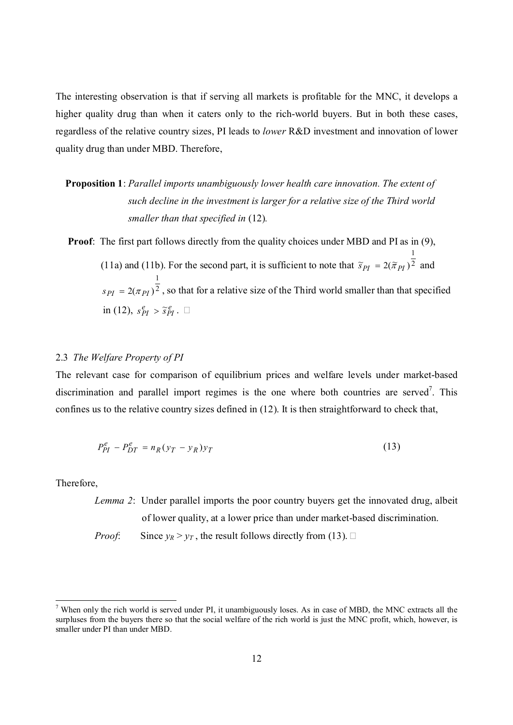The interesting observation is that if serving all markets is profitable for the MNC, it develops a higher quality drug than when it caters only to the rich-world buyers. But in both these cases, regardless of the relative country sizes, PI leads to *lower* R&D investment and innovation of lower quality drug than under MBD. Therefore,

### **Proposition 1**: *Parallel imports unambiguously lower health care innovation. The extent of such decline in the investment is larger for a relative size of the Third world smaller than that specified in* (12)*.*

**Proof**: The first part follows directly from the quality choices under MBD and PI as in (9),

(11a) and (11b). For the second part, it is sufficient to note that  $\tilde{s}_{PI} = 2(\tilde{\pi}_{PI})^2$ 1  $\widetilde{s}_{PI} = 2(\widetilde{\pi}_{PI})^{\overline{2}}$  and 2 1  $s_{PI} = 2(\pi_{PI})^2$ , so that for a relative size of the Third world smaller than that specified in (12),  $s_{PI}^e > \tilde{s}_{PI}^e$ .

#### 2.3 *The Welfare Property of PI*

The relevant case for comparison of equilibrium prices and welfare levels under market-based discrimination and parallel import regimes is the one where both countries are served<sup>7</sup>. This confines us to the relative country sizes defined in (12). It is then straightforward to check that,

$$
P_{PI}^e - P_{DT}^e = n_R(y_T - y_R)y_T \tag{13}
$$

Therefore,

 $\overline{a}$ 

*Lemma 2*: Under parallel imports the poor country buyers get the innovated drug, albeit of lower quality, at a lower price than under market-based discrimination.

*Proof*: Since  $y_R > y_T$ , the result follows directly from (13).

 $<sup>7</sup>$  When only the rich world is served under PI, it unambiguously loses. As in case of MBD, the MNC extracts all the</sup> surpluses from the buyers there so that the social welfare of the rich world is just the MNC profit, which, however, is smaller under PI than under MBD.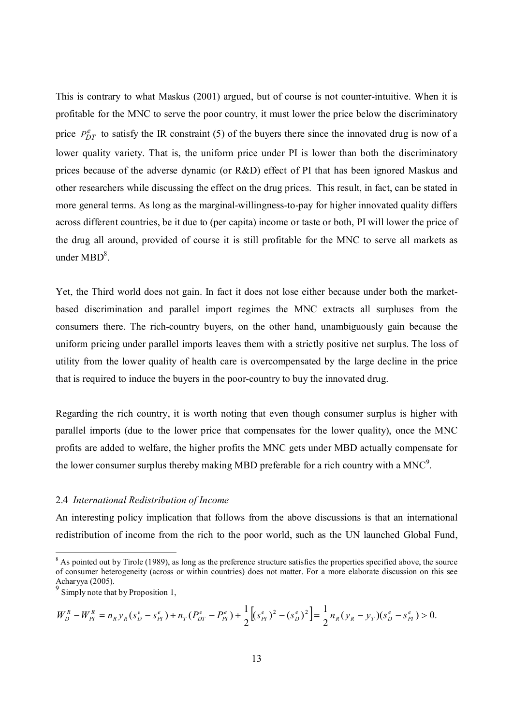This is contrary to what Maskus (2001) argued, but of course is not counter-intuitive. When it is profitable for the MNC to serve the poor country, it must lower the price below the discriminatory price  $P_{DT}^e$  to satisfy the IR constraint (5) of the buyers there since the innovated drug is now of a lower quality variety. That is, the uniform price under PI is lower than both the discriminatory prices because of the adverse dynamic (or R&D) effect of PI that has been ignored Maskus and other researchers while discussing the effect on the drug prices. This result, in fact, can be stated in more general terms. As long as the marginal-willingness-to-pay for higher innovated quality differs across different countries, be it due to (per capita) income or taste or both, PI will lower the price of the drug all around, provided of course it is still profitable for the MNC to serve all markets as under  $MBD<sup>8</sup>$ .

Yet, the Third world does not gain. In fact it does not lose either because under both the marketbased discrimination and parallel import regimes the MNC extracts all surpluses from the consumers there. The rich-country buyers, on the other hand, unambiguously gain because the uniform pricing under parallel imports leaves them with a strictly positive net surplus. The loss of utility from the lower quality of health care is overcompensated by the large decline in the price that is required to induce the buyers in the poor-country to buy the innovated drug.

Regarding the rich country, it is worth noting that even though consumer surplus is higher with parallel imports (due to the lower price that compensates for the lower quality), once the MNC profits are added to welfare, the higher profits the MNC gets under MBD actually compensate for the lower consumer surplus thereby making MBD preferable for a rich country with a MNC<sup>9</sup>.

#### 2.4 *International Redistribution of Income*

An interesting policy implication that follows from the above discussions is that an international redistribution of income from the rich to the poor world, such as the UN launched Global Fund,

<sup>-</sup>

$$
W_D^R - W_{PI}^R = n_R y_R (s_D^e - s_{PI}^e) + n_T (P_{DT}^e - P_{PI}^e) + \frac{1}{2} [(s_{PI}^e)^2 - (s_D^e)^2] = \frac{1}{2} n_R (y_R - y_T) (s_D^e - s_{PI}^e) > 0.
$$

 $8$  As pointed out by Tirole (1989), as long as the preference structure satisfies the properties specified above, the source of consumer heterogeneity (across or within countries) does not matter. For a more elaborate discussion on this see Acharyya (2005).

<sup>&</sup>lt;sup>9</sup> Simply note that by Proposition 1,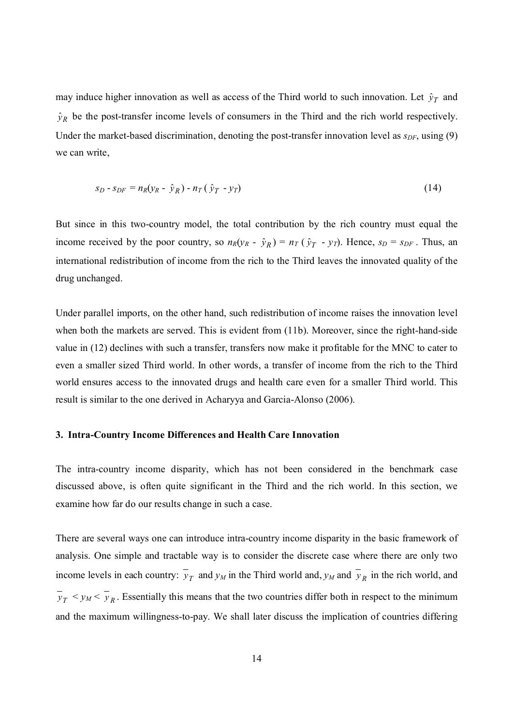may induce higher innovation as well as access of the Third world to such innovation. Let  $\hat{y}_T$  and  $\hat{y}_R$  be the post-transfer income levels of consumers in the Third and the rich world respectively. Under the market-based discrimination, denoting the post-transfer innovation level as  $s_{DF}$ , using (9) we can write,

$$
s_D - s_{DF} = n_R(y_R - \hat{y}_R) - n_T(\hat{y}_T - y_T)
$$
\n(14)

But since in this two-country model, the total contribution by the rich country must equal the income received by the poor country, so  $n_R(y_R - \hat{y}_R) = n_T(\hat{y}_T - y_T)$ . Hence,  $s_D = s_{DF}$ . Thus, an international redistribution of income from the rich to the Third leaves the innovated quality of the drug unchanged.

Under parallel imports, on the other hand, such redistribution of income raises the innovation level when both the markets are served. This is evident from (11b). Moreover, since the right-hand-side value in (12) declines with such a transfer, transfers now make it profitable for the MNC to cater to even a smaller sized Third world. In other words, a transfer of income from the rich to the Third world ensures access to the innovated drugs and health care even for a smaller Third world. This result is similar to the one derived in Acharyya and Garcia-Alonso (2006).

#### **3. Intra-Country Income Differences and Health Care Innovation**

The intra-country income disparity, which has not been considered in the benchmark case discussed above, is often quite significant in the Third and the rich world. In this section, we examine how far do our results change in such a case.

There are several ways one can introduce intra-country income disparity in the basic framework of analysis. One simple and tractable way is to consider the discrete case where there are only two income levels in each country:  $y_T$  and  $y_M$  in the Third world and,  $y_M$  and  $y_R$  in the rich world, and  $y_T \leq y_M \leq y_R$ . Essentially this means that the two countries differ both in respect to the minimum and the maximum willingness-to-pay. We shall later discuss the implication of countries differing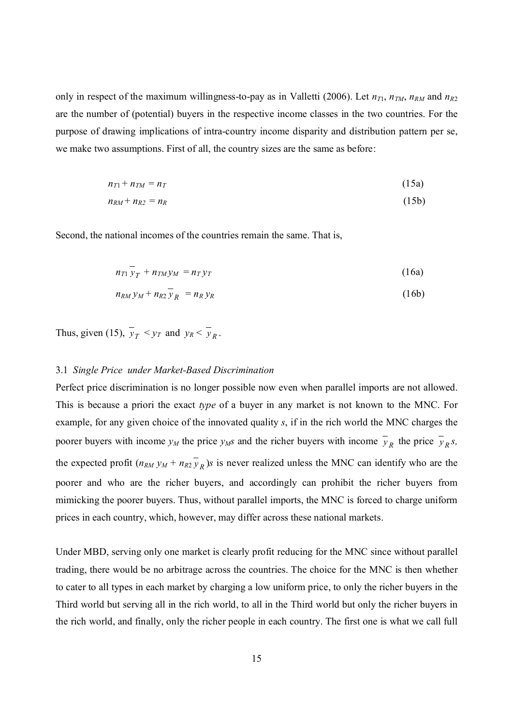only in respect of the maximum willingness-to-pay as in Valletti (2006). Let  $n_{T1}$ ,  $n_{TM}$ ,  $n_{RM}$  and  $n_{R2}$ are the number of (potential) buyers in the respective income classes in the two countries. For the purpose of drawing implications of intra-country income disparity and distribution pattern per se, we make two assumptions. First of all, the country sizes are the same as before:

$$
n_{T1} + n_{TM} = n_T \tag{15a}
$$

$$
n_{RM} + n_{R2} = n_R \tag{15b}
$$

Second, the national incomes of the countries remain the same. That is,

$$
n_{T1} \bar{y}_T + n_{TM} y_M = n_T y_T \tag{16a}
$$

$$
n_{RM} y_M + n_{R2} y_R = n_R y_R \tag{16b}
$$

Thus, given (15),  $y_T < y_T$  and  $y_R < y_R$ .

#### 3.1 *Single Price under Market-Based Discrimination*

Perfect price discrimination is no longer possible now even when parallel imports are not allowed. This is because a priori the exact *type* of a buyer in any market is not known to the MNC. For example, for any given choice of the innovated quality *s*, if in the rich world the MNC charges the poorer buyers with income  $y_M$  the price  $y_M$  and the richer buyers with income  $y_R$  the price  $y_R s$ , the expected profit  $(n_{RM} y_M + n_{R2} y_R)$ s is never realized unless the MNC can identify who are the poorer and who are the richer buyers, and accordingly can prohibit the richer buyers from mimicking the poorer buyers. Thus, without parallel imports, the MNC is forced to charge uniform prices in each country, which, however, may differ across these national markets.

Under MBD, serving only one market is clearly profit reducing for the MNC since without parallel trading, there would be no arbitrage across the countries. The choice for the MNC is then whether to cater to all types in each market by charging a low uniform price, to only the richer buyers in the Third world but serving all in the rich world, to all in the Third world but only the richer buyers in the rich world, and finally, only the richer people in each country. The first one is what we call full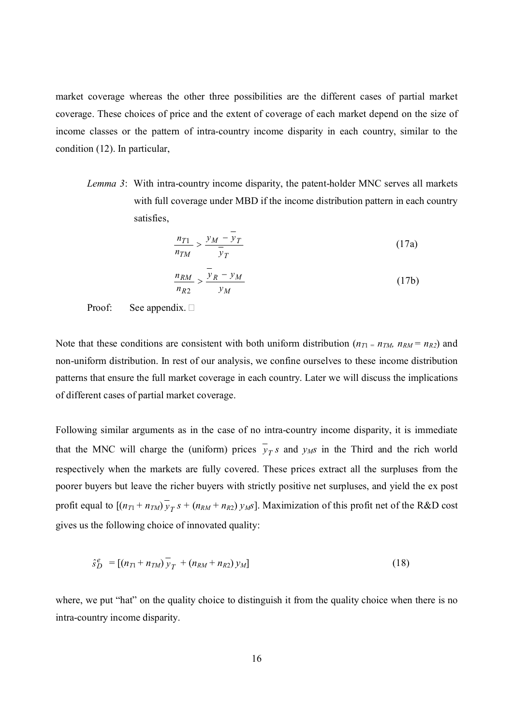market coverage whereas the other three possibilities are the different cases of partial market coverage. These choices of price and the extent of coverage of each market depend on the size of income classes or the pattern of intra-country income disparity in each country, similar to the condition (12). In particular,

*Lemma 3*: With intra-country income disparity, the patent-holder MNC serves all markets with full coverage under MBD if the income distribution pattern in each country satisfies,

$$
\frac{n_{T1}}{n_{TM}} > \frac{y_M - \overline{y}_T}{\overline{y}_T}
$$
 (17a)

$$
\frac{n_{RM}}{n_{R2}} > \frac{y_R - y_M}{y_M} \tag{17b}
$$

Proof: See appendix.  $\square$ 

Note that these conditions are consistent with both uniform distribution ( $n_{T1} = n_{TM}$ ,  $n_{RM} = n_{R2}$ ) and non-uniform distribution. In rest of our analysis, we confine ourselves to these income distribution patterns that ensure the full market coverage in each country. Later we will discuss the implications of different cases of partial market coverage.

Following similar arguments as in the case of no intra-country income disparity, it is immediate that the MNC will charge the (uniform) prices  $y_T s$  and  $y_M s$  in the Third and the rich world respectively when the markets are fully covered. These prices extract all the surpluses from the poorer buyers but leave the richer buyers with strictly positive net surpluses, and yield the ex post profit equal to  $[(n_{T1} + n_{TM}) y_T s + (n_{RM} + n_{R2}) y_M s]$ . Maximization of this profit net of the R&D cost gives us the following choice of innovated quality:

$$
\hat{s}_D^e = [(n_{T1} + n_{TM}) \bar{y}_T + (n_{RM} + n_{R2}) y_M]
$$
\n(18)

where, we put "hat" on the quality choice to distinguish it from the quality choice when there is no intra-country income disparity.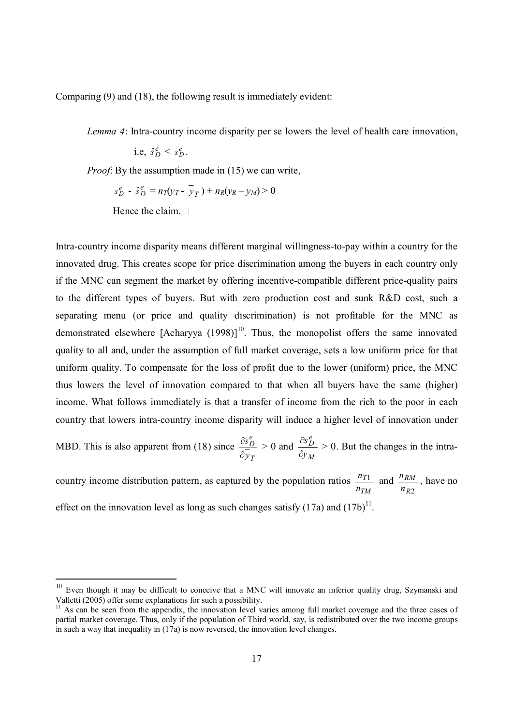Comparing (9) and (18), the following result is immediately evident:

*Lemma 4*: Intra-country income disparity per se lowers the level of health care innovation,

i.e,  $\hat{s}_D^e < s_D^e$ .

*Proof*: By the assumption made in (15) we can write,

$$
s_D^e - \hat{s}_D^e = n_T(y_T - \overline{y}_T) + n_R(y_R - y_M) > 0
$$

Hence the claim.  $\Box$ 

-

Intra-country income disparity means different marginal willingness-to-pay within a country for the innovated drug. This creates scope for price discrimination among the buyers in each country only if the MNC can segment the market by offering incentive-compatible different price-quality pairs to the different types of buyers. But with zero production cost and sunk R&D cost, such a separating menu (or price and quality discrimination) is not profitable for the MNC as demonstrated elsewhere  $[Acharyya (1998)]^{10}$ . Thus, the monopolist offers the same innovated quality to all and, under the assumption of full market coverage, sets a low uniform price for that uniform quality. To compensate for the loss of profit due to the lower (uniform) price, the MNC thus lowers the level of innovation compared to that when all buyers have the same (higher) income. What follows immediately is that a transfer of income from the rich to the poor in each country that lowers intra-country income disparity will induce a higher level of innovation under

MBD. This is also apparent from (18) since *T e D y s*  $\hat{c}$  $\frac{\partial s_D^e}{\partial t} > 0$  and *M e D y s*  $\partial$  $\frac{\partial s_D^e}{\partial s} > 0$ . But the changes in the intra-

country income distribution pattern, as captured by the population ratios *TM T n*  $n_{T1}$  and *R*2 *RM n*  $\frac{n_{RM}}{n}$ , have no effect on the innovation level as long as such changes satisfy  $(17a)$  and  $(17b)^{11}$ .

 $10$  Even though it may be difficult to conceive that a MNC will innovate an inferior quality drug, Szymanski and Valletti (2005) offer some explanations for such a possibility.

As can be seen from the appendix, the innovation level varies among full market coverage and the three cases of partial market coverage. Thus, only if the population of Third world, say, is redistributed over the two income groups in such a way that inequality in  $(17a)$  is now reversed, the innovation level changes.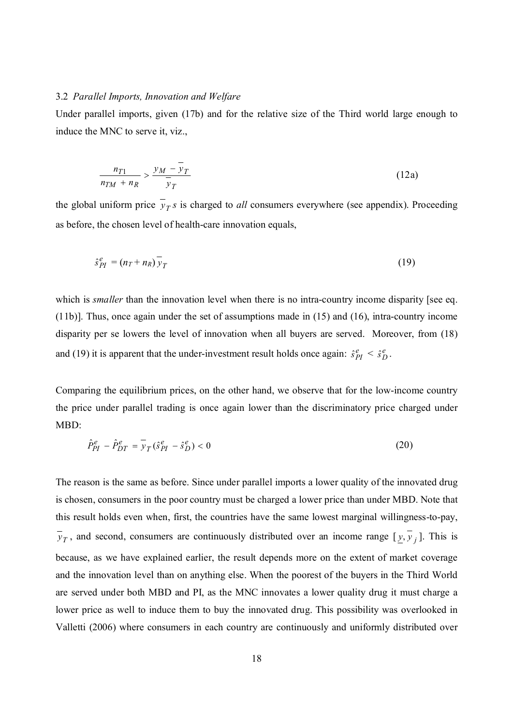#### 3.2 *Parallel Imports, Innovation and Welfare*

Under parallel imports, given (17b) and for the relative size of the Third world large enough to induce the MNC to serve it, viz.,

$$
\frac{n_{T1}}{n_{TM} + n_R} > \frac{y_M - \bar{y}_T}{\bar{y}_T}
$$
\n(12a)

the global uniform price  $y_T s$  is charged to *all* consumers everywhere (see appendix). Proceeding as before, the chosen level of health-care innovation equals,

$$
\hat{s}_{PI}^e = (n_T + n_R)\bar{y}_T \tag{19}
$$

which is *smaller* than the innovation level when there is no intra-country income disparity [see eq. (11b)]. Thus, once again under the set of assumptions made in (15) and (16), intra-country income disparity per se lowers the level of innovation when all buyers are served. Moreover, from (18) and (19) it is apparent that the under-investment result holds once again:  $\hat{s}_{PI}^e < \hat{s}_D^e$ .

Comparing the equilibrium prices, on the other hand, we observe that for the low-income country the price under parallel trading is once again lower than the discriminatory price charged under MBD:

$$
\hat{P}_{PI}^e - \hat{P}_{DT}^e = \bar{y}_T (\hat{s}_{PI}^e - \hat{s}_D^e) < 0 \tag{20}
$$

The reason is the same as before. Since under parallel imports a lower quality of the innovated drug is chosen, consumers in the poor country must be charged a lower price than under MBD. Note that this result holds even when, first, the countries have the same lowest marginal willingness-to-pay,  $y_T$ , and second, consumers are continuously distributed over an income range  $[\underline{y}, y_j]$ . This is because, as we have explained earlier, the result depends more on the extent of market coverage and the innovation level than on anything else. When the poorest of the buyers in the Third World are served under both MBD and PI, as the MNC innovates a lower quality drug it must charge a lower price as well to induce them to buy the innovated drug. This possibility was overlooked in Valletti (2006) where consumers in each country are continuously and uniformly distributed over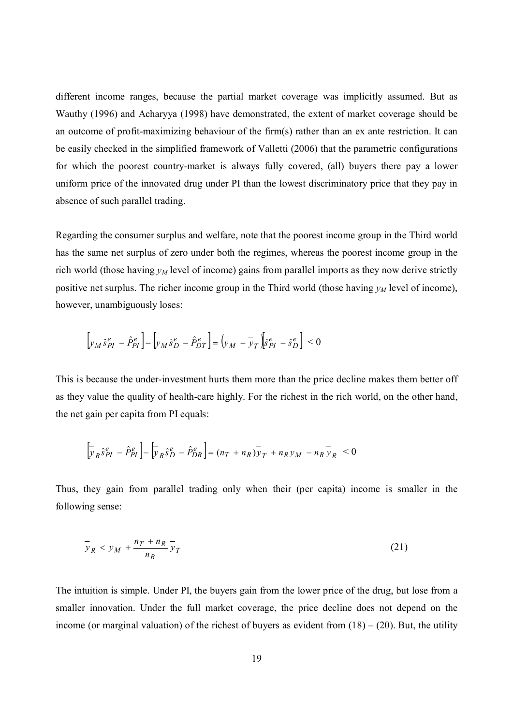different income ranges, because the partial market coverage was implicitly assumed. But as Wauthy (1996) and Acharyya (1998) have demonstrated, the extent of market coverage should be an outcome of profit-maximizing behaviour of the firm(s) rather than an ex ante restriction. It can be easily checked in the simplified framework of Valletti (2006) that the parametric configurations for which the poorest country-market is always fully covered, (all) buyers there pay a lower uniform price of the innovated drug under PI than the lowest discriminatory price that they pay in absence of such parallel trading.

Regarding the consumer surplus and welfare, note that the poorest income group in the Third world has the same net surplus of zero under both the regimes, whereas the poorest income group in the rich world (those having *yM* level of income) gains from parallel imports as they now derive strictly positive net surplus. The richer income group in the Third world (those having  $y<sub>M</sub>$  level of income), however, unambiguously loses:

$$
\left[ y_M \hat{s}_{PI}^e - \hat{P}_{PI}^e \right] - \left[ y_M \hat{s}_{D}^e - \hat{P}_{DT}^e \right] = \left( y_M - \bar{y}_T \right) \left[ \hat{s}_{PI}^e - \hat{s}_{D}^e \right] < 0
$$

This is because the under-investment hurts them more than the price decline makes them better off as they value the quality of health-care highly. For the richest in the rich world, on the other hand, the net gain per capita from PI equals:

$$
\left[\overline{y}_R \hat{s}_{PI}^e - \hat{P}_{PI}^e\right] - \left[\overline{y}_R \hat{s}_{D}^e - \hat{P}_{DR}^e\right] = (n_T + n_R)\overline{y}_T + n_R y_M - n_R \overline{y}_R < 0
$$

Thus, they gain from parallel trading only when their (per capita) income is smaller in the following sense:

$$
\overline{y}_R < y_M + \frac{n_T + n_R}{n_R} \overline{y}_T \tag{21}
$$

The intuition is simple. Under PI, the buyers gain from the lower price of the drug, but lose from a smaller innovation. Under the full market coverage, the price decline does not depend on the income (or marginal valuation) of the richest of buyers as evident from  $(18) - (20)$ . But, the utility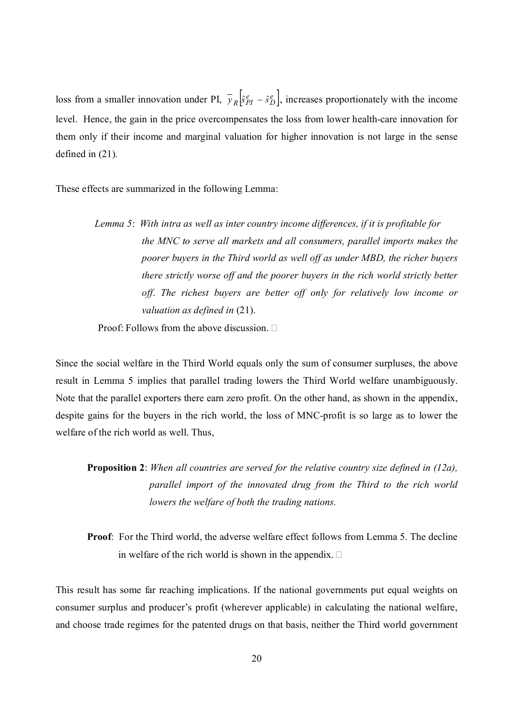loss from a smaller innovation under PI,  $\bar{y}_R \left[ \hat{s}_{PI}^e - \hat{s}_D^e \right]$ , increases proportionately with the income level. Hence, the gain in the price overcompensates the loss from lower health-care innovation for them only if their income and marginal valuation for higher innovation is not large in the sense defined in (21).

These effects are summarized in the following Lemma:

## *Lemma 5*: *With intra as well as inter country income differences, if it is profitable for the MNC to serve all markets and all consumers, parallel imports makes the poorer buyers in the Third world as well off as under MBD, the richer buyers there strictly worse off and the poorer buyers in the rich world strictly better off*. *The richest buyers are better off only for relatively low income or valuation as defined in* (21).

Proof: Follows from the above discussion.  $\Box$ 

Since the social welfare in the Third World equals only the sum of consumer surpluses, the above result in Lemma 5 implies that parallel trading lowers the Third World welfare unambiguously. Note that the parallel exporters there earn zero profit. On the other hand, as shown in the appendix, despite gains for the buyers in the rich world, the loss of MNC-profit is so large as to lower the welfare of the rich world as well. Thus,

**Proposition 2**: *When all countries are served for the relative country size defined in (12a), parallel import of the innovated drug from the Third to the rich world lowers the welfare of both the trading nations.* 

**Proof**: For the Third world, the adverse welfare effect follows from Lemma 5. The decline in welfare of the rich world is shown in the appendix.  $\square$ 

This result has some far reaching implications. If the national governments put equal weights on consumer surplus and producer's profit (wherever applicable) in calculating the national welfare, and choose trade regimes for the patented drugs on that basis, neither the Third world government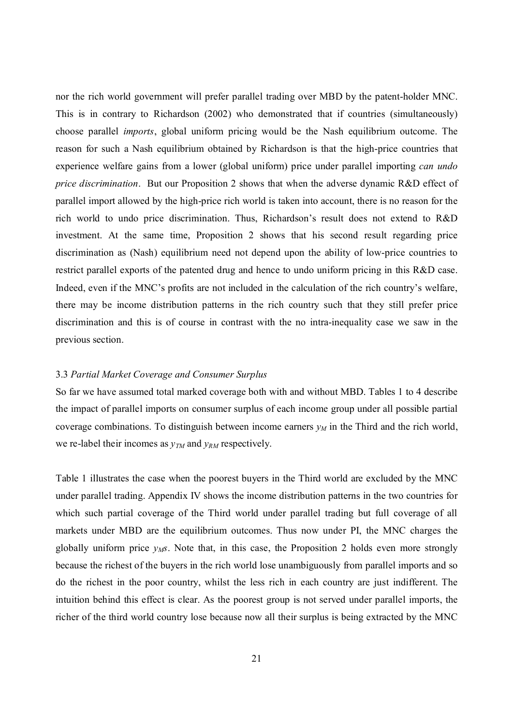nor the rich world government will prefer parallel trading over MBD by the patent-holder MNC. This is in contrary to Richardson (2002) who demonstrated that if countries (simultaneously) choose parallel *imports*, global uniform pricing would be the Nash equilibrium outcome. The reason for such a Nash equilibrium obtained by Richardson is that the high-price countries that experience welfare gains from a lower (global uniform) price under parallel importing *can undo price discrimination*. But our Proposition 2 shows that when the adverse dynamic R&D effect of parallel import allowed by the high-price rich world is taken into account, there is no reason for the rich world to undo price discrimination. Thus, Richardson's result does not extend to R&D investment. At the same time, Proposition 2 shows that his second result regarding price discrimination as (Nash) equilibrium need not depend upon the ability of low-price countries to restrict parallel exports of the patented drug and hence to undo uniform pricing in this R&D case. Indeed, even if the MNC's profits are not included in the calculation of the rich country's welfare, there may be income distribution patterns in the rich country such that they still prefer price discrimination and this is of course in contrast with the no intra-inequality case we saw in the previous section.

#### 3.3 *Partial Market Coverage and Consumer Surplus*

So far we have assumed total marked coverage both with and without MBD. Tables 1 to 4 describe the impact of parallel imports on consumer surplus of each income group under all possible partial coverage combinations. To distinguish between income earners *yM* in the Third and the rich world, we re-label their incomes as  $y_{TM}$  and  $y_{RM}$  respectively.

Table 1 illustrates the case when the poorest buyers in the Third world are excluded by the MNC under parallel trading. Appendix IV shows the income distribution patterns in the two countries for which such partial coverage of the Third world under parallel trading but full coverage of all markets under MBD are the equilibrium outcomes. Thus now under PI, the MNC charges the globally uniform price  $y_M$ s. Note that, in this case, the Proposition 2 holds even more strongly because the richest of the buyers in the rich world lose unambiguously from parallel imports and so do the richest in the poor country, whilst the less rich in each country are just indifferent. The intuition behind this effect is clear. As the poorest group is not served under parallel imports, the richer of the third world country lose because now all their surplus is being extracted by the MNC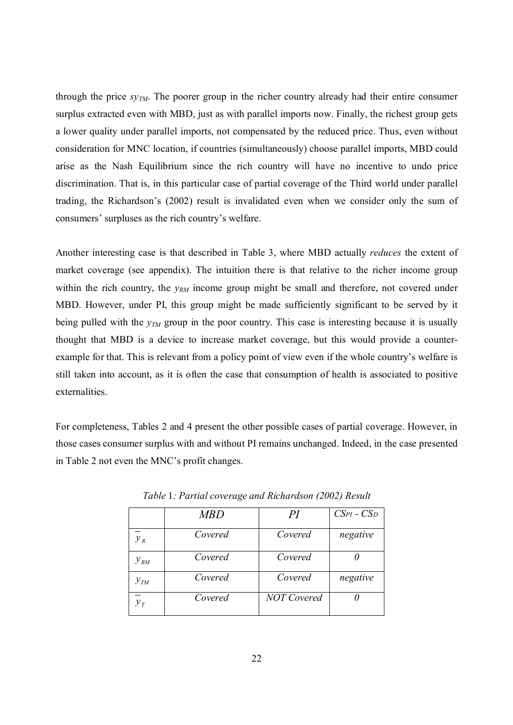through the price *syTM*. The poorer group in the richer country already had their entire consumer surplus extracted even with MBD, just as with parallel imports now. Finally, the richest group gets a lower quality under parallel imports, not compensated by the reduced price. Thus, even without consideration for MNC location, if countries (simultaneously) choose parallel imports, MBD could arise as the Nash Equilibrium since the rich country will have no incentive to undo price discrimination. That is, in this particular case of partial coverage of the Third world under parallel trading, the Richardson's (2002) result is invalidated even when we consider only the sum of consumers' surpluses as the rich country's welfare.

Another interesting case is that described in Table 3, where MBD actually *reduces* the extent of market coverage (see appendix). The intuition there is that relative to the richer income group within the rich country, the *y<sub>RM</sub>* income group might be small and therefore, not covered under MBD. However, under PI, this group might be made sufficiently significant to be served by it being pulled with the *yTM* group in the poor country. This case is interesting because it is usually thought that MBD is a device to increase market coverage, but this would provide a counterexample for that. This is relevant from a policy point of view even if the whole country's welfare is still taken into account, as it is often the case that consumption of health is associated to positive externalities.

For completeness, Tables 2 and 4 present the other possible cases of partial coverage. However, in those cases consumer surplus with and without PI remains unchanged. Indeed, in the case presented in Table 2 not even the MNC's profit changes.

|          | <b>MBD</b> | PI                 | $CSpI - CSp$ |
|----------|------------|--------------------|--------------|
| $y_{R}$  | Covered    | Covered            | negative     |
| $y_{RM}$ | Covered    | Covered            |              |
| $y_{TM}$ | Covered    | Covered            | negative     |
| $y_T$    | Covered    | <b>NOT</b> Covered |              |

*Table* 1*: Partial coverage and Richardson (2002) Result*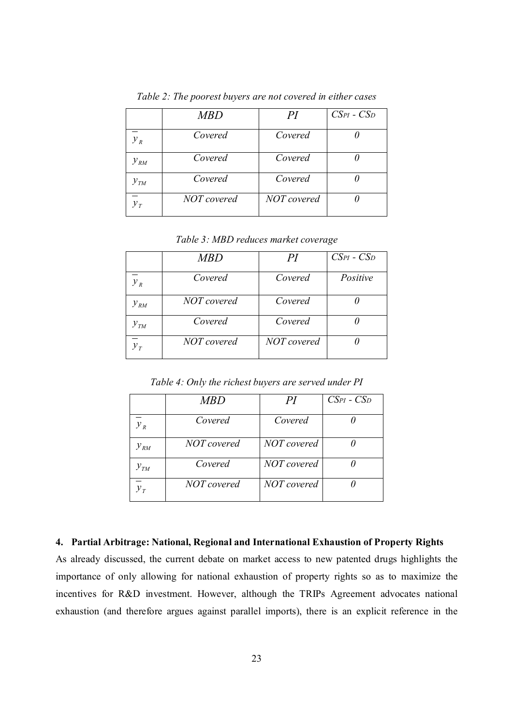|          | MBD         | PI          | $C\text{SPI}$ - $C\text{SD}$ |
|----------|-------------|-------------|------------------------------|
| $y_R$    | Covered     | Covered     |                              |
| $y_{RM}$ | Covered     | Covered     |                              |
| $y_{TM}$ | Covered     | Covered     |                              |
| $y_T$    | NOT covered | NOT covered |                              |

*Table 2: The poorest buyers are not covered in either cases* 

*Table 3: MBD reduces market coverage* 

|            | <b>MBD</b>  | PI          | $C\text{SPI}$ - $C\text{SD}$ |
|------------|-------------|-------------|------------------------------|
| $y_R$      | Covered     | Covered     | Positive                     |
| $y_{RM}$   | NOT covered | Covered     |                              |
| $y_{TM}$   | Covered     | Covered     |                              |
| $y_{\tau}$ | NOT covered | NOT covered |                              |

*Table 4: Only the richest buyers are served under PI* 

|          | <b>MBD</b>  |             | $CSpI - CSp$ |
|----------|-------------|-------------|--------------|
| $y_R$    | Covered     | Covered     |              |
| $y_{RM}$ | NOT covered | NOT covered |              |
| $y_{TM}$ | Covered     | NOT covered |              |
|          | NOT covered | NOT covered |              |

#### **4. Partial Arbitrage: National, Regional and International Exhaustion of Property Rights**

As already discussed, the current debate on market access to new patented drugs highlights the importance of only allowing for national exhaustion of property rights so as to maximize the incentives for R&D investment. However, although the TRIPs Agreement advocates national exhaustion (and therefore argues against parallel imports), there is an explicit reference in the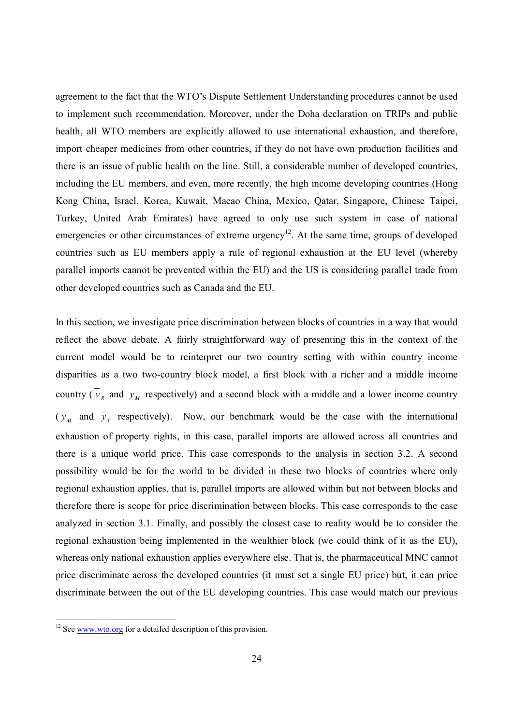agreement to the fact that the WTO's Dispute Settlement Understanding procedures cannot be used to implement such recommendation. Moreover, under the Doha declaration on TRIPs and public health, all WTO members are explicitly allowed to use international exhaustion, and therefore, import cheaper medicines from other countries, if they do not have own production facilities and there is an issue of public health on the line. Still, a considerable number of developed countries, including the EU members, and even, more recently, the high income developing countries (Hong Kong China, Israel, Korea, Kuwait, Macao China, Mexico, Qatar, Singapore, Chinese Taipei, Turkey, United Arab Emirates) have agreed to only use such system in case of national emergencies or other circumstances of extreme urgency<sup>12</sup>. At the same time, groups of developed countries such as EU members apply a rule of regional exhaustion at the EU level (whereby parallel imports cannot be prevented within the EU) and the US is considering parallel trade from other developed countries such as Canada and the EU.

In this section, we investigate price discrimination between blocks of countries in a way that would reflect the above debate. A fairly straightforward way of presenting this in the context of the current model would be to reinterpret our two country setting with within country income disparities as a two two-country block model, a first block with a richer and a middle income country ( $y_R$  and  $y_M$  respectively) and a second block with a middle and a lower income country  $(y_M$  and  $y_T$  respectively). Now, our benchmark would be the case with the international exhaustion of property rights, in this case, parallel imports are allowed across all countries and there is a unique world price. This case corresponds to the analysis in section 3.2. A second possibility would be for the world to be divided in these two blocks of countries where only regional exhaustion applies, that is, parallel imports are allowed within but not between blocks and therefore there is scope for price discrimination between blocks. This case corresponds to the case analyzed in section 3.1. Finally, and possibly the closest case to reality would be to consider the regional exhaustion being implemented in the wealthier block (we could think of it as the EU), whereas only national exhaustion applies everywhere else. That is, the pharmaceutical MNC cannot price discriminate across the developed countries (it must set a single EU price) but, it can price discriminate between the out of the EU developing countries. This case would match our previous

 $\overline{a}$ 

 $12$  See  $\frac{www.wto.org}{s}$  for a detailed description of this provision.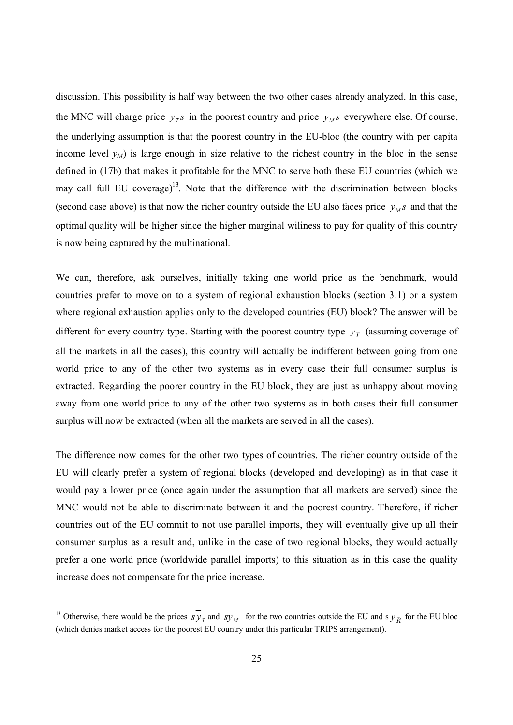discussion. This possibility is half way between the two other cases already analyzed. In this case, the MNC will charge price  $y_T s$  in the poorest country and price  $y_M s$  everywhere else. Of course, the underlying assumption is that the poorest country in the EU-bloc (the country with per capita income level  $y_M$ ) is large enough in size relative to the richest country in the bloc in the sense defined in (17b) that makes it profitable for the MNC to serve both these EU countries (which we may call full EU coverage) $13$ . Note that the difference with the discrimination between blocks (second case above) is that now the richer country outside the EU also faces price  $y_M s$  and that the optimal quality will be higher since the higher marginal wiliness to pay for quality of this country is now being captured by the multinational.

We can, therefore, ask ourselves, initially taking one world price as the benchmark, would countries prefer to move on to a system of regional exhaustion blocks (section 3.1) or a system where regional exhaustion applies only to the developed countries (EU) block? The answer will be different for every country type. Starting with the poorest country type  $y<sub>T</sub>$  (assuming coverage of all the markets in all the cases), this country will actually be indifferent between going from one world price to any of the other two systems as in every case their full consumer surplus is extracted. Regarding the poorer country in the EU block, they are just as unhappy about moving away from one world price to any of the other two systems as in both cases their full consumer surplus will now be extracted (when all the markets are served in all the cases).

The difference now comes for the other two types of countries. The richer country outside of the EU will clearly prefer a system of regional blocks (developed and developing) as in that case it would pay a lower price (once again under the assumption that all markets are served) since the MNC would not be able to discriminate between it and the poorest country. Therefore, if richer countries out of the EU commit to not use parallel imports, they will eventually give up all their consumer surplus as a result and, unlike in the case of two regional blocks, they would actually prefer a one world price (worldwide parallel imports) to this situation as in this case the quality increase does not compensate for the price increase.

 $\overline{a}$ 

<sup>&</sup>lt;sup>13</sup> Otherwise, there would be the prices  $s y<sub>T</sub>$  and  $s y<sub>M</sub>$  for the two countries outside the EU and s  $y<sub>R</sub>$  for the EU bloc (which denies market access for the poorest EU country under this particular TRIPS arrangement).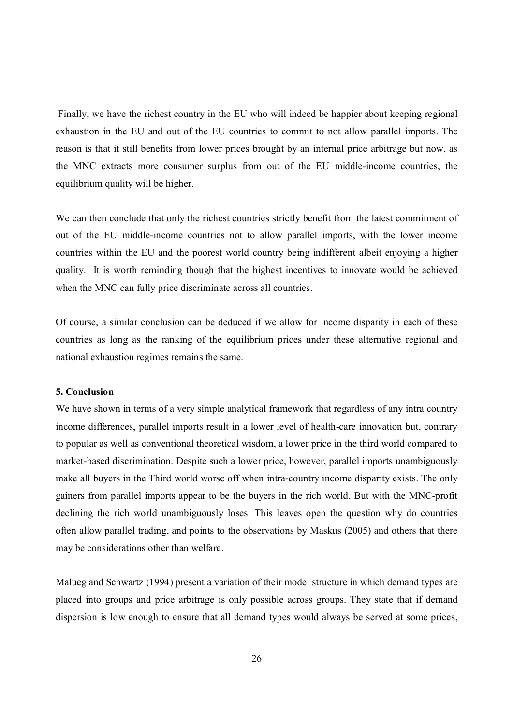Finally, we have the richest country in the EU who will indeed be happier about keeping regional exhaustion in the EU and out of the EU countries to commit to not allow parallel imports. The reason is that it still benefits from lower prices brought by an internal price arbitrage but now, as the MNC extracts more consumer surplus from out of the EU middle-income countries, the equilibrium quality will be higher.

We can then conclude that only the richest countries strictly benefit from the latest commitment of out of the EU middle-income countries not to allow parallel imports, with the lower income countries within the EU and the poorest world country being indifferent albeit enjoying a higher quality. It is worth reminding though that the highest incentives to innovate would be achieved when the MNC can fully price discriminate across all countries.

Of course, a similar conclusion can be deduced if we allow for income disparity in each of these countries as long as the ranking of the equilibrium prices under these alternative regional and national exhaustion regimes remains the same.

#### **5. Conclusion**

We have shown in terms of a very simple analytical framework that regardless of any intra country income differences, parallel imports result in a lower level of health-care innovation but, contrary to popular as well as conventional theoretical wisdom, a lower price in the third world compared to market-based discrimination. Despite such a lower price, however, parallel imports unambiguously make all buyers in the Third world worse off when intra-country income disparity exists. The only gainers from parallel imports appear to be the buyers in the rich world. But with the MNC-profit declining the rich world unambiguously loses. This leaves open the question why do countries often allow parallel trading, and points to the observations by Maskus (2005) and others that there may be considerations other than welfare.

Malueg and Schwartz (1994) present a variation of their model structure in which demand types are placed into groups and price arbitrage is only possible across groups. They state that if demand dispersion is low enough to ensure that all demand types would always be served at some prices,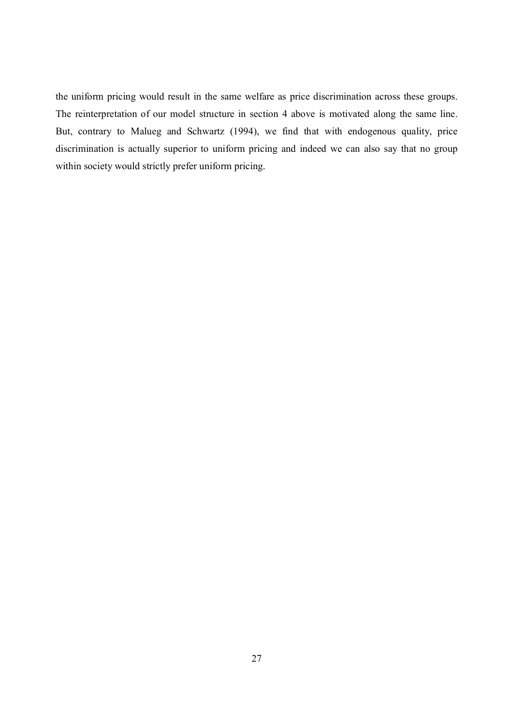the uniform pricing would result in the same welfare as price discrimination across these groups. The reinterpretation of our model structure in section 4 above is motivated along the same line. But, contrary to Malueg and Schwartz (1994), we find that with endogenous quality, price discrimination is actually superior to uniform pricing and indeed we can also say that no group within society would strictly prefer uniform pricing.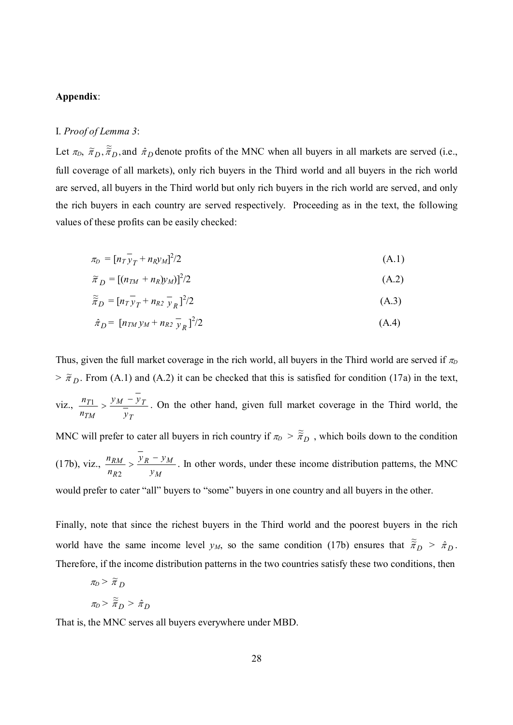#### **Appendix**:

#### I. *Proof of Lemma 3*:

Let  $\pi_D$ ,  $\tilde{\pi}_D$ ,  $\tilde{\pi}_D$ , and  $\hat{\pi}_D$  denote profits of the MNC when all buyers in all markets are served (i.e., full coverage of all markets), only rich buyers in the Third world and all buyers in the rich world are served, all buyers in the Third world but only rich buyers in the rich world are served, and only the rich buyers in each country are served respectively. Proceeding as in the text, the following values of these profits can be easily checked:

$$
\pi_D = \left[ n_T \overline{y}_T + n_R y_M \right]^2 / 2 \tag{A.1}
$$

$$
\widetilde{\pi}_D = \left[ (n_{TM} + n_R) y_M \right]^2 / 2 \tag{A.2}
$$

$$
\widetilde{\widetilde{\pi}}_D = [n_T \overline{y}_T + n_{R2} \overline{y}_R]^2/2
$$
 (A.3)

$$
\hat{\pi}_D = [n_{TM} y_M + n_{R2} \bar{y}_R]^2/2 \tag{A.4}
$$

Thus, given the full market coverage in the rich world, all buyers in the Third world are served if  $\pi$  $> \tilde{\pi}_D$ . From (A.1) and (A.2) it can be checked that this is satisfied for condition (17a) in the text, viz., *T*  $M = Y_T$ *TM T y*  $y_M - y$ *n*  $n_{T1} > \frac{y_M - y_T}{T}$ . On the other hand, given full market coverage in the Third world, the MNC will prefer to cater all buyers in rich country if  $\pi_D > \tilde{\pi}_D$ , which boils down to the condition (17b), viz., *M*  $R = y_M$ *R RM y*  $y_R - y$ *n*  $\frac{n_{RM}}{N} > \frac{y_R}{N}$ 2 . In other words, under these income distribution patterns, the MNC would prefer to cater "all" buyers to "some" buyers in one country and all buyers in the other.

Finally, note that since the richest buyers in the Third world and the poorest buyers in the rich world have the same income level  $y_M$ , so the same condition (17b) ensures that  $\tilde{\tilde{x}}_D > \tilde{x}_D$ . Therefore, if the income distribution patterns in the two countries satisfy these two conditions, then

$$
\pi_D > \widetilde{\pi}_D
$$
  

$$
\pi_D > \widetilde{\widetilde{\pi}}_D > \hat{\pi}_D
$$

That is, the MNC serves all buyers everywhere under MBD.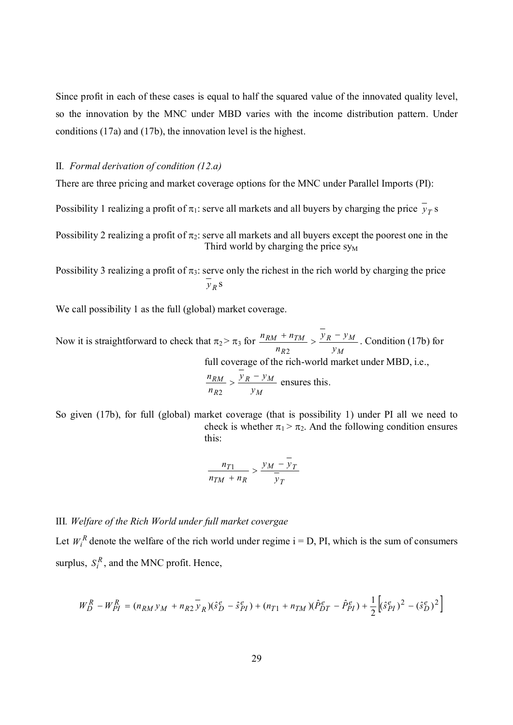Since profit in each of these cases is equal to half the squared value of the innovated quality level, so the innovation by the MNC under MBD varies with the income distribution pattern. Under conditions (17a) and (17b), the innovation level is the highest.

#### II*. Formal derivation of condition (12.a)*

There are three pricing and market coverage options for the MNC under Parallel Imports (PI):

Possibility 1 realizing a profit of  $\pi_1$ : serve all markets and all buyers by charging the price  $\bar{y}_T$  s

Possibility 2 realizing a profit of  $\pi_2$ : serve all markets and all buyers except the poorest one in the Third world by charging the price  $sy_M$ 

Possibility 3 realizing a profit of  $\pi_3$ : serve only the richest in the rich world by charging the price *R y* s

We call possibility 1 as the full (global) market coverage.

Now it is straightforward to check that  $\pi_2 > \pi_3$  for *M*  $R = y_M$ *R*  $RM$  *+*  $n_{TM}$ *y*  $y_R - y$ *n*  $\frac{n_{RM} + n_{TM}}{P} > \frac{y_R - n_{TM}}{P}$ 2 . Condition (17b) for full coverage of the rich-world market under MBD, i.e.,

$$
\frac{n_{RM}}{n_{R2}} > \frac{y_R - y_M}{y_M}
$$
 ensures this.

So given (17b), for full (global) market coverage (that is possibility 1) under PI all we need to check is whether  $\pi_1 > \pi_2$ . And the following condition ensures this:

$$
\frac{n_{T1}}{n_{TM} + n_R} > \frac{y_M - y_T}{\overline{y}_T}
$$

#### III*. Welfare of the Rich World under full market covergae*

Let  $W_i^R$  denote the welfare of the rich world under regime  $i = D$ , PI, which is the sum of consumers surplus,  $S_i^R$ , and the MNC profit. Hence,

$$
W_D^R - W_{PI}^R = (n_{RM} y_M + n_{R2} y_R)(\hat{s}_D^e - \hat{s}_{PI}^e) + (n_{T1} + n_{TM})(\hat{P}_{DT}^e - \hat{P}_{PI}^e) + \frac{1}{2} [(\hat{s}_{PI}^e)^2 - (\hat{s}_D^e)^2]
$$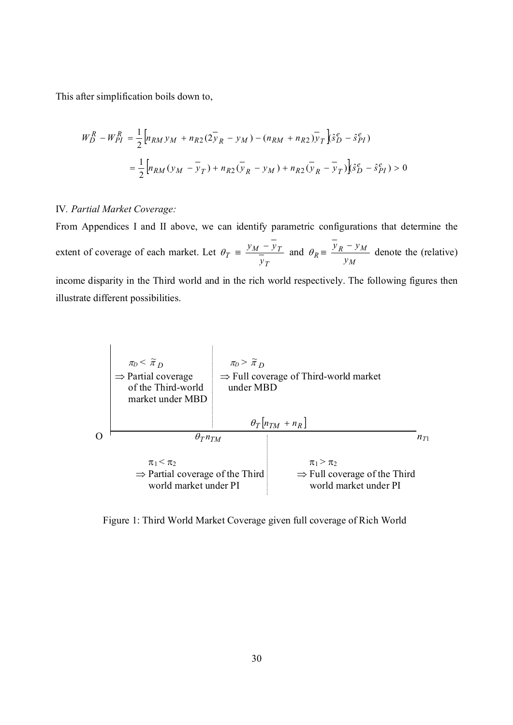This after simplification boils down to,

$$
W_D^R - W_{PI}^R = \frac{1}{2} \Big[ n_{RM} y_M + n_{R2} (2 \bar{y}_R - y_M) - (n_{RM} + n_{R2}) \bar{y}_T \Big] \hat{s}_D^e - \hat{s}_{PI}^e)
$$
  
= 
$$
\frac{1}{2} \Big[ n_{RM} (y_M - \bar{y}_T) + n_{R2} (\bar{y}_R - y_M) + n_{R2} (\bar{y}_R - \bar{y}_T) \Big] \hat{s}_D^e - \hat{s}_{PI}^e) > 0
$$

#### IV*. Partial Market Coverage:*

From Appendices I and II above, we can identify parametric configurations that determine the extent of coverage of each market. Let  $\theta_T$ *T*  $M = YT$ *y*  $\frac{y_M - y_T}{\sigma}$  and  $\theta_R =$ *M*  $R = y_M$ *y*  $y_R - y_M$  denote the (relative)

income disparity in the Third world and in the rich world respectively. The following figures then illustrate different possibilities.



Figure 1: Third World Market Coverage given full coverage of Rich World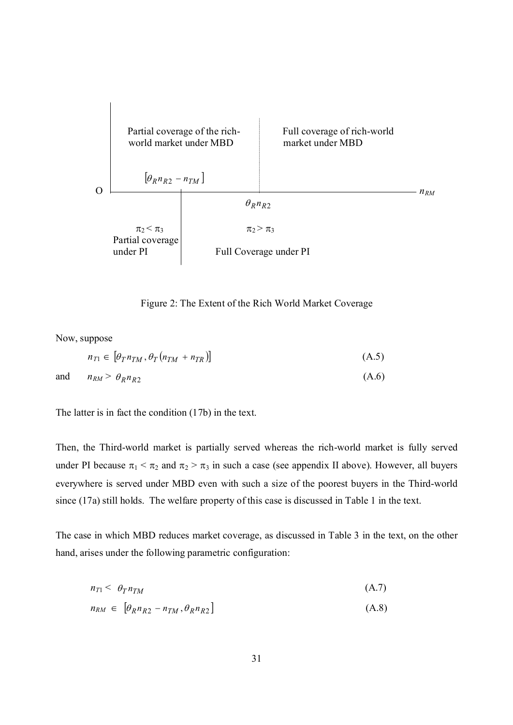

Figure 2: The Extent of the Rich World Market Coverage

Now, suppose

$$
n_{T1} \in \left[\theta_T n_{TM}, \theta_T (n_{TM} + n_{TR})\right] \tag{A.5}
$$

and  $n_{RM} > \theta_R n_{R2}$  $(A.6)$ 

$$
f_{\rm{max}}(x)=\frac{1}{2}x
$$

The latter is in fact the condition (17b) in the text.

Then, the Third-world market is partially served whereas the rich-world market is fully served under PI because  $\pi_1 < \pi_2$  and  $\pi_2 > \pi_3$  in such a case (see appendix II above). However, all buyers everywhere is served under MBD even with such a size of the poorest buyers in the Third-world since (17a) still holds. The welfare property of this case is discussed in Table 1 in the text.

The case in which MBD reduces market coverage, as discussed in Table 3 in the text, on the other hand, arises under the following parametric configuration:

$$
n_{T1} < \theta_T n_{TM} \tag{A.7}
$$

$$
n_{RM} \in \left[\theta_R n_{R2} - n_{TM}, \theta_R n_{R2}\right] \tag{A.8}
$$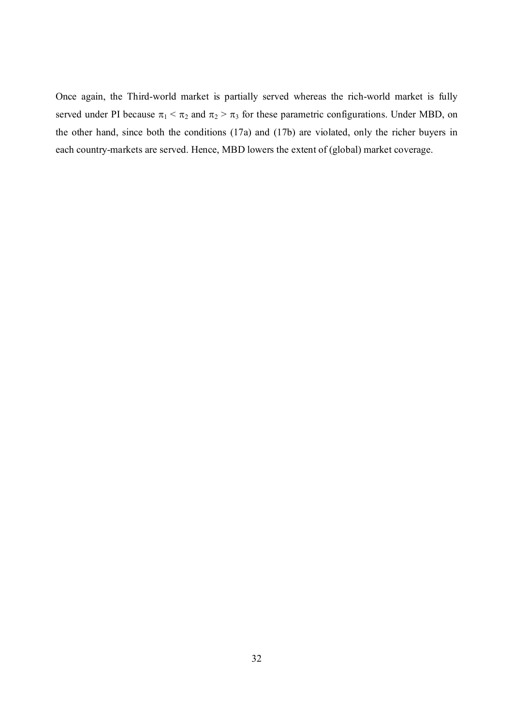Once again, the Third-world market is partially served whereas the rich-world market is fully served under PI because  $\pi_1 < \pi_2$  and  $\pi_2 > \pi_3$  for these parametric configurations. Under MBD, on the other hand, since both the conditions (17a) and (17b) are violated, only the richer buyers in each country-markets are served. Hence, MBD lowers the extent of (global) market coverage.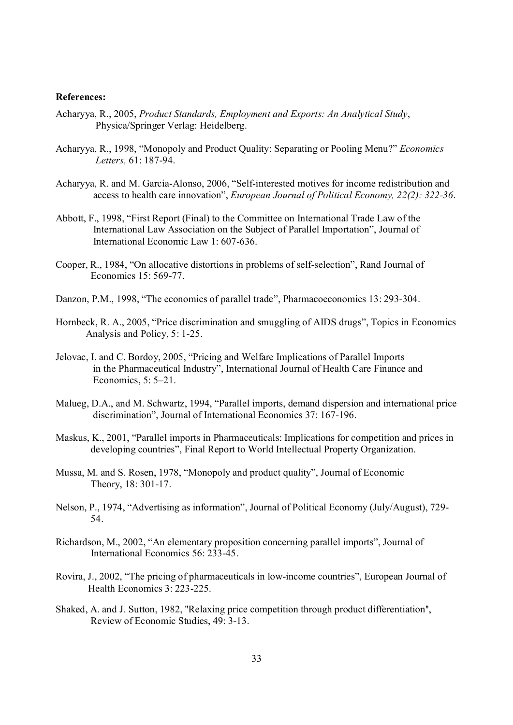#### **References:**

- Acharyya, R., 2005, *Product Standards, Employment and Exports: An Analytical Study*, Physica/Springer Verlag: Heidelberg.
- Acharyya, R., 1998, "Monopoly and Product Quality: Separating or Pooling Menu?" *Economics Letters,* 61: 187-94.
- Acharyya, R. and M. Garcia-Alonso, 2006, "Self-interested motives for income redistribution and access to health care innovation", *European Journal of Political Economy, 22(2): 322-36*.
- Abbott, F., 1998, "First Report (Final) to the Committee on International Trade Law of the International Law Association on the Subject of Parallel Importation", Journal of International Economic Law 1: 607-636.
- Cooper, R., 1984, "On allocative distortions in problems of self-selection", Rand Journal of Economics 15: 569-77.
- Danzon, P.M., 1998, "The economics of parallel trade", Pharmacoeconomics 13: 293-304.
- Hornbeck, R. A., 2005, "Price discrimination and smuggling of AIDS drugs", Topics in Economics Analysis and Policy, 5: 1-25.
- Jelovac, I. and C. Bordoy, 2005, "Pricing and Welfare Implications of Parallel Imports in the Pharmaceutical Industry", International Journal of Health Care Finance and Economics, 5: 5–21.
- Malueg, D.A., and M. Schwartz, 1994, "Parallel imports, demand dispersion and international price discrimination", Journal of International Economics 37: 167-196.
- Maskus, K., 2001, "Parallel imports in Pharmaceuticals: Implications for competition and prices in developing countries", Final Report to World Intellectual Property Organization.
- Mussa, M. and S. Rosen, 1978, "Monopoly and product quality", Journal of Economic Theory, 18: 301-17.
- Nelson, P., 1974, "Advertising as information", Journal of Political Economy (July/August), 729- 54.
- Richardson, M., 2002, "An elementary proposition concerning parallel imports", Journal of International Economics 56: 233-45.
- Rovira, J., 2002, "The pricing of pharmaceuticals in low-income countries", European Journal of Health Economics 3: 223-225.
- Shaked, A. and J. Sutton, 1982, ''Relaxing price competition through product differentiation'', Review of Economic Studies, 49: 3-13.